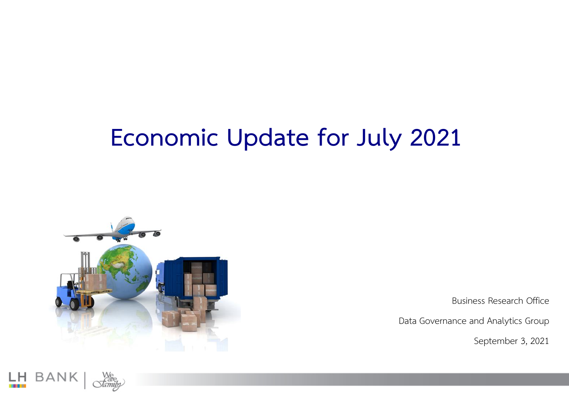# **Economic Update for July 2021**



Business Research Office

Data Governance and Analytics Group

September 3, 2021

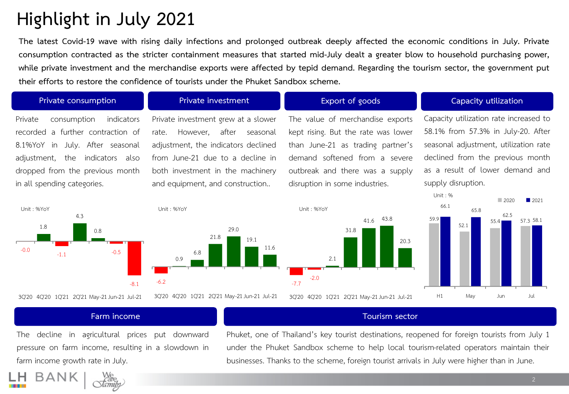### **Highlight in July 2021**

The latest Covid-19 wave with rising daily infections and prolonged outbreak deeply affected the economic conditions in July. Private consumption contracted as the stricter containment measures that started mid-July dealt a greater blow to household purchasing power, while private investment and the merchandise exports were affected by tepid demand. Regarding the tourism sector, the government put **their efforts to restore the confidence of tourists under the Phuket Sandbox scheme.**

### Private consumption indicators recorded a further contraction of 8.1%YoY in July. After seasonal adjustment, the indicators also dropped from the previous month in all spending categories.

Private investment grew at a slower rate. However, after seasonal adjustment, the indicators declined from June-21 due to a decline in both investment in the machinery and equipment, and construction..

The value of merchandise exports kept rising. But the rate was lower than June-21 as trading partner's demand softened from a severe outbreak and there was a supply disruption in some industries.

### **Private consumption Private investment Export of goods Capacity utilization**

Capacity utilization rate increased to 58.1% from 57.3% in July-20. After seasonal adjustment, utilization rate declined from the previous month as a result of lower demand and supply disruption.

62.5

57 3 58.1

 $\Box$  2020  $\Box$  2021





2.1 31.8 41.6 43.8

-7.7

-2.0



Unit : %

#### **Farm income Tourism sector**

The decline in agricultural prices put downward pressure on farm income, resulting in a slowdown in farm income growth rate in July.

Phuket, one of Thailand's key tourist destinations, reopened for foreign tourists from July 1 under the Phuket Sandbox scheme to help local tourism-related operators maintain their businesses. Thanks to the scheme, foreign tourist arrivals in July were higher than in June.

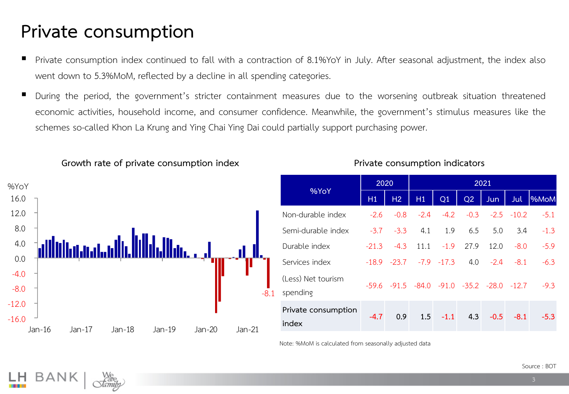### **Private consumption**

- Private consumption index continued to fall with a contraction of 8.1%YoY in July. After seasonal adjustment, the index also went down to 5.3%MoM, reflected by a decline in all spending categories.
- During the period, the government's stricter containment measures due to the worsening outbreak situation threatened economic activities, household income, and consumer confidence. Meanwhile, the government's stimulus measures like the schemes so-called Khon La Krung and Ying Chai Ying Dai could partially support purchasing power.



**Growth rate of private consumption index**

|  | %YoY                           | 2020    |                                                         | 2021   |            |      |                   |              |            |
|--|--------------------------------|---------|---------------------------------------------------------|--------|------------|------|-------------------|--------------|------------|
|  |                                | H1      | H2                                                      | H1     | Q1         | Q2   | <b>Jun</b>        | <b>Jul</b>   | <b>MoM</b> |
|  | Non-durable index              | $-2.6$  | $-0.8$                                                  | $-2.4$ | $-4.2$     |      | $-0.3 -2.5 -10.2$ |              | $-5.1$     |
|  | Semi-durable index             | $-3.7$  | $-3.3$                                                  | 4.1    | 1.9        | 6.5  | 5.0               | 3.4          | $-1.3$     |
|  | Durable index                  | $-21.3$ | $-4.3$                                                  | 11.1   | $-1.9$     | 27.9 | 12.0              | $-8.0$       | $-5.9$     |
|  | Services index                 |         | $-18.9$ $-23.7$ $-7.9$ $-17.3$                          |        |            |      | $4.0 -2.4$        | $-8.1$       | $-6.3$     |
|  | (Less) Net tourism<br>spending |         | $-59.6$ $-91.5$ $-84.0$ $-91.0$ $-35.2$ $-28.0$ $-12.7$ |        |            |      |                   |              | $-9.3$     |
|  | Private consumption<br>index   | $-4.7$  | 0.9                                                     |        | $1.5 -1.1$ | 4.3  |                   | $-0.5 - 8.1$ | $-5.3$     |

**Private consumption indicators**

Note: %MoM is calculated from seasonally adjusted data

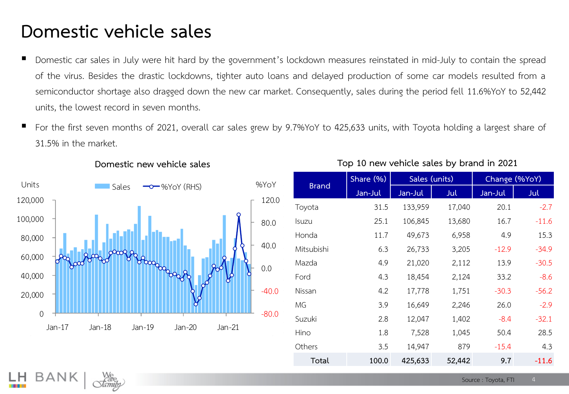### **Domestic vehicle sales**

- Domestic car sales in July were hit hard by the government's lockdown measures reinstated in mid-July to contain the spread of the virus. Besides the drastic lockdowns, tighter auto loans and delayed production of some car models resulted from a semiconductor shortage also dragged down the new car market. Consequently, sales during the period fell 11.6%YoY to 52,442 units, the lowest record in seven months.
- For the first seven months of 2021, overall car sales grew by 9.7%YoY to 425,633 units, with Toyota holding a largest share of 31.5% in the market.



#### **Domestic new vehicle sales**

### **Top 10 new vehicle sales by brand in 2021**

|              | Share (%) | Sales (units) |        | Change (%YoY) |         |  |
|--------------|-----------|---------------|--------|---------------|---------|--|
| <b>Brand</b> | Jan-Jul   | Jan-Jul       | Jul    | Jan-Jul       | Jul     |  |
| Toyota       | 31.5      | 133,959       | 17,040 | 20.1          | $-2.7$  |  |
| Isuzu        | 25.1      | 106,845       | 13,680 | 16.7          | $-11.6$ |  |
| Honda        | 11.7      | 49,673        | 6,958  | 4.9           | 15.3    |  |
| Mitsubishi   | 6.3       | 26,733        | 3,205  | $-12.9$       | $-34.9$ |  |
| Mazda        | 4.9       | 21,020        | 2,112  | 13.9          | $-30.5$ |  |
| Ford         | 4.3       | 18,454        | 2,124  | 33.2          | $-8.6$  |  |
| Nissan       | 4.2       | 17,778        | 1,751  | $-30.3$       | $-56.2$ |  |
| MG           | 3.9       | 16,649        | 2,246  | 26.0          | $-2.9$  |  |
| Suzuki       | 2.8       | 12,047        | 1,402  | $-8.4$        | $-32.1$ |  |
| Hino         | 1.8       | 7,528         | 1,045  | 50.4          | 28.5    |  |
| Others       | 3.5       | 14,947        | 879    | $-15.4$       | 4.3     |  |
| Total        | 100.0     | 425,633       | 52,442 | 9.7           | $-11.6$ |  |

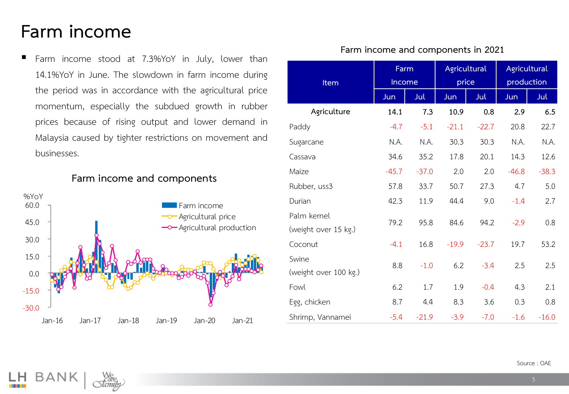### **Farm income**

■ Farm income stood at 7.3%YoY in July, lower than 14.1%YoY in June. The slowdown in farm income during the period was in accordance with the agricultural price momentum, especially the subdued growth in rubber prices because of rising output and lower demand in Malaysia caused by tighter restrictions on movement and businesses.

**Farm income and components**



#### **Item Farm Income Agricultural price Agricultural production Jun Jul Jun Jul Jun Jul Agriculture 14.1 7.3 10.9 0.8 2.9 6.5** Paddy **-4.7** -5.1 -21.1 -22.7 20.8 22.7 Sugarcane N.A. N.A. 3 .3 3 .3 N.A. N.A. Cassava 34.6 35.2 7.8 2 . 4.3 2.6 Maize -45.7 -37.0 2.0 2.0 -46.8 -38.3 Rubber, uss3 57.8 33.7 50.7 27.3 4.7 5.0 Durian 12.3 11.9 44.4 9.0 - 1.4 2.7 Palm kernel (weight over 15 kg.) 79.2 95.8 84.6 94.2 -2.9 .8

Coconut -4.1 16.8 - 19.9 - 23.7 19.7 53.2

Fowl 6.2 1.7 1.9 -0.4 4.3 2.1

Egg, chicken 8.7 a.4 8.3 3.6 0.3 0.8

Shrimp, Vannamei  $-5.4$   $-21.9$   $-3.9$   $-7.0$   $-1.6$   $-16.0$ 

8.8 - 1.0 6.2 - 3.4 2.5 2.5

Swine

(weight over 100 kg.)

**Farm income and components in 2021**

Source : OAE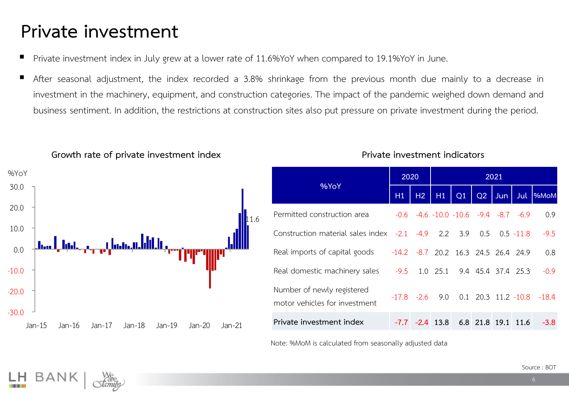### **Private investment**

- Private investment index in July grew at a lower rate of 11.6%YoY when compared to 19.1%YoY in June.
- After seasonal adjustment, the index recorded a 3.8% shrinkage from the previous month due mainly to a decrease in investment in the machinery, equipment, and construction categories. The impact of the pandemic weighed down demand and business sentiment. In addition, the restrictions at construction sites also put pressure on private investment during the period.



#### **Growth rate of private investment index**

|                                                                                 |    | 2020          |                   | 2021                                               |    |            |  |                               |
|---------------------------------------------------------------------------------|----|---------------|-------------------|----------------------------------------------------|----|------------|--|-------------------------------|
| %YoY                                                                            | H1 | H2            | H1                | Q1                                                 | Q2 | <b>Jun</b> |  | Jul  %MoM                     |
| Permitted construction area                                                     |    |               |                   | $-0.6$ $-4.6$ $-10.0$ $-10.6$ $-9.4$ $-8.7$ $-6.9$ |    |            |  | 0.9                           |
| Construction material sales index $-2.1$ $-4.9$ $2.2$ $3.9$ $0.5$ $0.5$ $-11.8$ |    |               |                   |                                                    |    |            |  | $-9.5$                        |
| Real imports of capital goods -14.2 -8.7 20.2 16.3 24.5 26.4 24.9               |    |               |                   |                                                    |    |            |  | 0.8                           |
| Real domestic machinery sales                                                   |    |               |                   | $-9.5$ 1.0 25.1 9.4 45.4 37.4 25.3                 |    |            |  | $-0.9$                        |
| Number of newly registered<br>motor vehicles for investment                     |    | $-17.8 - 2.6$ |                   |                                                    |    |            |  | 9.0 0.1 20.3 11.2 -10.8 -18.4 |
| Private investment index                                                        |    |               | $-7.7 - 2.4$ 13.8 | 6.8 21.8 19.1 11.6                                 |    |            |  | $-3.8$                        |

**Private investment indicators**

Note: %MoM is calculated from seasonally adjusted data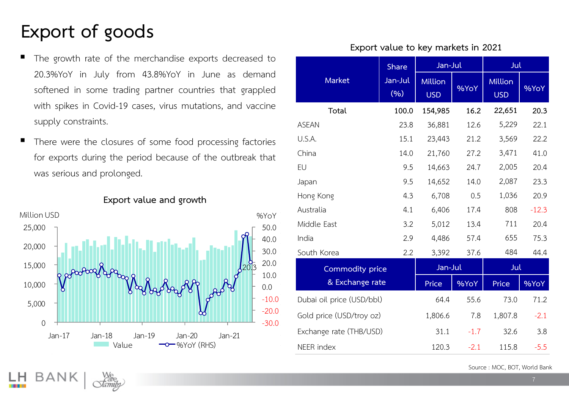### **Export of goods**

- The growth rate of the merchandise exports decreased to 20.3%YoY in July from 43.8%YoY in June as demand softened in some trading partner countries that grappled with spikes in Covid-19 cases, virus mutations, and vaccine supply constraints.
- There were the closures of some food processing factories for exports during the period because of the outbreak that was serious and prolonged.



### **Export value and growth Export**

#### **Export value to key markets in 2021**

|                           | <b>Share</b>     | Jan-Jul                      |        | Jul                          |         |
|---------------------------|------------------|------------------------------|--------|------------------------------|---------|
| <b>Market</b>             | Jan-Jul<br>(9/6) | <b>Million</b><br><b>USD</b> | %YoY   | <b>Million</b><br><b>USD</b> | %YoY    |
| Total                     | 100.0            | 154,985                      | 16.2   | 22,651                       | 20.3    |
| <b>ASEAN</b>              | 23.8             | 36,881                       | 12.6   | 5,229                        | 22.1    |
| U.S.A.                    | 15.1             | 23,443                       | 21.2   | 3,569                        | 22.2    |
| China                     | 14.0             | 21,760                       | 27.2   | 3,471                        | 41.0    |
| EU                        | 9.5              | 14,663                       | 24.7   | 2,005                        | 20.4    |
| Japan                     | 9.5              | 14,652                       | 14.0   | 2,087                        | 23.3    |
| Hong Kong                 | 4.3              | 6,708                        | 0.5    | 1,036                        | 20.9    |
| Australia                 | 4.1              | 6,406                        | 17.4   | 808                          | $-12.3$ |
| Middle East               | 3.2              | 5,012                        | 13.4   | 711                          | 20.4    |
| India                     | 2.9              | 4,486                        | 57.4   | 655                          | 75.3    |
| South Korea               | 2.2              | 3,392                        | 37.6   | 484                          | 44.4    |
| <b>Commodity price</b>    |                  | Jan-Jul                      |        | Jul                          |         |
| & Exchange rate           |                  | Price                        | %YoY   | Price                        | %YoY    |
| Dubai oil price (USD/bbl) |                  | 64.4                         | 55.6   | 73.0                         | 71.2    |
| Gold price (USD/troy oz)  |                  | 1,806.6                      | 7.8    | 1,807.8                      | $-2.1$  |
| Exchange rate (THB/USD)   |                  | 31.1                         | $-1.7$ | 32.6                         | 3.8     |
| NEER index                |                  | 120.3                        | $-2.1$ | 115.8                        | $-5.5$  |

Source : MOC, BOT, World Bank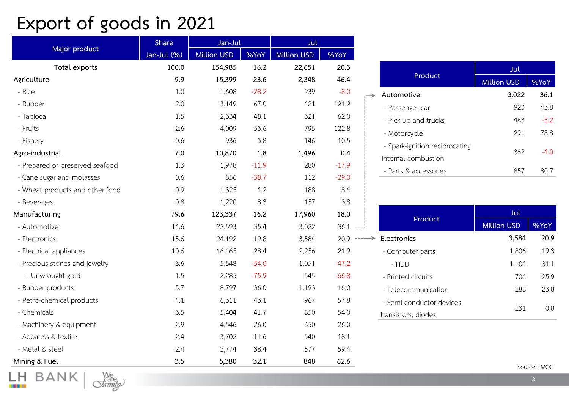## **Export of goods in 2021**

|                                 | Share       | Jan-Jul            |         | Jul                |            |                |
|---------------------------------|-------------|--------------------|---------|--------------------|------------|----------------|
| Major product                   | Jan-Jul (%) | <b>Million USD</b> | %YoY    | <b>Million USD</b> | %YoY       |                |
| Total exports                   | 100.0       | 154,985            | 16.2    | 22,651             | 20.3       |                |
| Agriculture                     | 9.9         | 15,399             | 23.6    | 2,348              | 46.4       |                |
| - Rice                          | 1.0         | 1,608              | $-28.2$ | 239                | $-8.0$     |                |
| - Rubber                        | 2.0         | 3,149              | 67.0    | 421                | 121.2      |                |
| - Tapioca                       | 1.5         | 2,334              | 48.1    | 321                | 62.0       |                |
| - Fruits                        | 2.6         | 4,009              | 53.6    | 795                | 122.8      |                |
| - Fishery                       | 0.6         | 936                | 3.8     | 146                | 10.5       |                |
| Agro-industrial                 | 7.0         | 10,870             | 1.8     | 1,496              | 0.4        |                |
| - Prepared or preserved seafood | 1.3         | 1,978              | $-11.9$ | 280                | $-17.9$    |                |
| - Cane sugar and molasses       | 0.6         | 856                | $-38.7$ | 112                | $-29.0$    |                |
| - Wheat products and other food | 0.9         | 1,325              | 4.2     | 188                | 8.4        |                |
| - Beverages                     | 0.8         | 1,220              | 8.3     | 157                | 3.8        |                |
| Manufacturing                   | 79.6        | 123,337            | 16.2    | 17,960             | 18.0       |                |
| - Automotive                    | 14.6        | 22,593             | 35.4    | 3,022              | $36.1$ --- |                |
| - Electronics                   | 15.6        | 24,192             | 19.8    | 3,584              |            | $20.9$ ------> |
| - Electrical appliances         | 10.6        | 16,465             | 28.4    | 2,256              | 21.9       |                |
| - Precious stones and jewelry   | 3.6         | 5,548              | $-54.0$ | 1,051              | $-47.2$    |                |
| - Unwrought gold                | 1.5         | 2,285              | $-75.9$ | 545                | $-66.8$    |                |
| - Rubber products               | 5.7         | 8,797              | 36.0    | 1,193              | 16.0       |                |
| - Petro-chemical products       | 4.1         | 6,311              | 43.1    | 967                | 57.8       |                |
| - Chemicals                     | 3.5         | 5,404              | 41.7    | 850                | 54.0       |                |
| - Machinery & equipment         | 2.9         | 4,546              | 26.0    | 650                | 26.0       |                |
| - Apparels & textile            | 2.4         | 3,702              | 11.6    | 540                | 18.1       |                |
| - Metal & steel                 | 2.4         | 3,774              | 38.4    | 577                | 59.4       |                |
| Mining & Fuel                   | 3.5         | 5,380              | 32.1    | 848                | 62.6       |                |

|                                | Jul                |        |
|--------------------------------|--------------------|--------|
| Product                        | <b>Million USD</b> | %YoY   |
| Automotive                     | 3,022              | 36.1   |
| - Passenger car                | 923                | 43.8   |
| - Pick up and trucks           | 483                | $-5.2$ |
| - Motorcycle                   | 291                | 78.8   |
| - Spark-ignition reciprocating | 362                | $-4.0$ |
| internal combustion            |                    |        |
| - Parts & accessories          | 857                | 80.7   |

|       |                           | Jul                |       |
|-------|---------------------------|--------------------|-------|
|       | Product                   | <b>Million USD</b> | 96YoY |
| ----> | Electronics               | 3,584              | 20.9  |
|       | - Computer parts          | 1,806              | 19.3  |
|       | - HDD                     | 1,104              | 31.1  |
|       | - Printed circuits        | 704                | 25.9  |
|       | - Telecommunication       | 288                | 23.8  |
|       | - Semi-conductor devices. | 231                |       |
|       | transistors, diodes       |                    | 0.8   |

Source : MOC

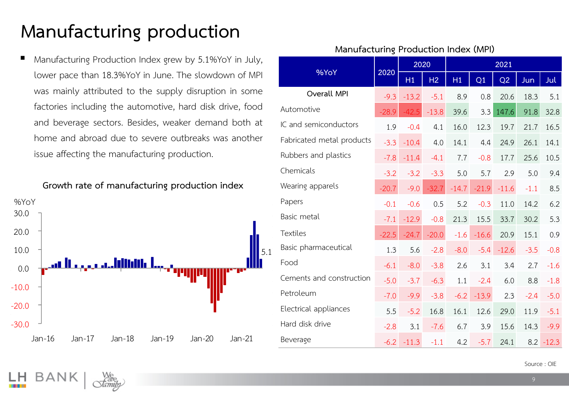## **Manufacturing production**

Manufacturing Production Index grew by 5.1%YoY in July, lower pace than 18.3%YoY in June. The slowdown of MPI was mainly attributed to the supply disruption in some factories including the automotive, hard disk drive, food and beverage sectors. Besides, weaker demand both at home and abroad due to severe outbreaks was another issue affecting the manufacturing production.

**Growth rate of manufacturing production index MPI**



|                           |         | 2020    |                | 2021    |         |         |        |              |
|---------------------------|---------|---------|----------------|---------|---------|---------|--------|--------------|
| %YoY                      | 2020    | H1      | H <sub>2</sub> | H1      | Q1      | Q2      | Jun    | <u>Jul</u>   |
| Overall MPI               | $-9.3$  | $-13.2$ | $-5.1$         | 8.9     | 0.8     | 20.6    | 18.3   | 5.1          |
| Automotive                | $-28.9$ | $-42.5$ | $-13.8$        | 39.6    | 3.3     | 147.6   | 91.8   | 32.8         |
| IC and semiconductors     | 1.9     | $-0.4$  | 4.1            | 16.0    | 12.3    | 19.7    | 21.7   | 16.5         |
| Fabricated metal products | $-3.3$  | $-10.4$ | 4.0            | 14.1    | 4.4     | 24.9    | 26.1   | 14.1         |
| Rubbers and plastics      | $-7.8$  | $-11.4$ | $-4.1$         | 7.7     | $-0.8$  | 17.7    | 25.6   | 10.5         |
| Chemicals                 | $-3.2$  | $-3.2$  | $-3.3$         | 5.0     | 5.7     | 2.9     | 5.0    | 9.4          |
| Wearing apparels          | $-20.7$ | $-9.0$  | $-32.7$        | $-14.7$ | $-21.9$ | $-11.6$ | $-1.1$ | 8.5          |
| Papers                    | $-0.1$  | $-0.6$  | 0.5            | 5.2     | $-0.3$  | 11.0    | 14.2   | 6.2          |
| Basic metal               | $-7.1$  | $-12.9$ | $-0.8$         | 21.3    | 15.5    | 33.7    | 30.2   | 5.3          |
| <b>Textiles</b>           | $-22.5$ | $-24.7$ | $-20.0$        | $-1.6$  | $-16.6$ | 20.9    | 15.1   | 0.9          |
| Basic pharmaceutical      | 1.3     | 5.6     | $-2.8$         | $-8.0$  | $-5.4$  | $-12.6$ | $-3.5$ | $-0.8$       |
| Food                      | $-6.1$  | $-8.0$  | $-3.8$         | 2.6     | 3.1     | 3.4     | 2.7    | $-1.6$       |
| Cements and construction  | $-5.0$  | $-3.7$  | $-6.3$         | 1.1     | $-2.4$  | 6.0     | 8.8    | $-1.8$       |
| Petroleum                 | $-7.0$  | $-9.9$  | $-3.8$         | $-6.2$  | $-13.9$ | 2.3     | $-2.4$ | $-5.0$       |
| Electrical appliances     | 5.5     | $-5.2$  | 16.8           | 16.1    | 12.6    | 29.0    | 11.9   | $-5.1$       |
| Hard disk drive           | $-2.8$  | 3.1     | $-7.6$         | 6.7     | 3.9     | 15.6    | 14.3   | $-9.9$       |
| Beverage                  | $-6.2$  | $-11.3$ | $-1.1$         | 4.2     | $-5.7$  | 24.1    |        | $8.2 - 12.3$ |

#### **Manufacturing Production Index (MPI)**

Source : OIE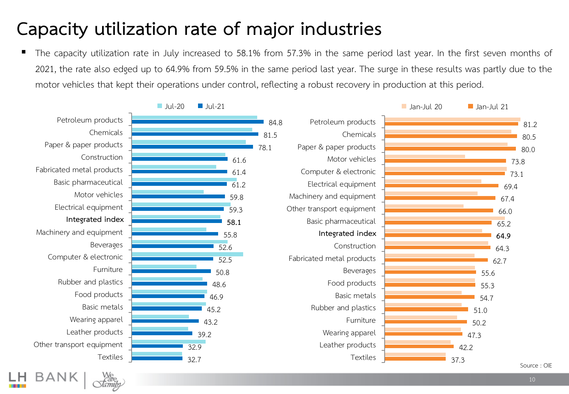### **Capacity utilization rate of major industries**

The capacity utilization rate in July increased to 58.1% from 57.3% in the same period last year. In the first seven months of 2021, the rate also edged up to 64.9% from 59.5% in the same period last year. The surge in these results was partly due to the motor vehicles that kept their operations under control, reflecting a robust recovery in production at this period.

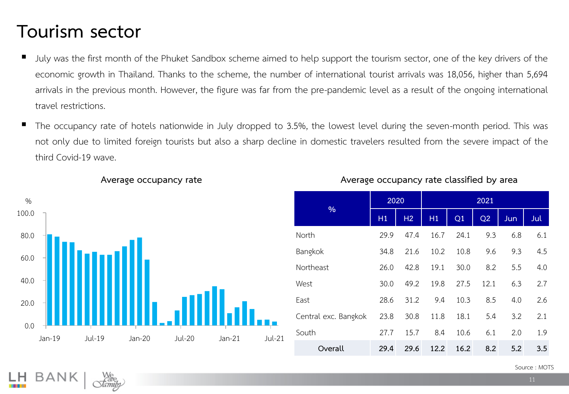### **Tourism sector**

- July was the first month of the Phuket Sandbox scheme aimed to help support the tourism sector, one of the key drivers of the economic growth in Thailand. Thanks to the scheme, the number of international tourist arrivals was 18,056, higher than 5,694 arrivals in the previous month. However, the figure was far from the pre-pandemic level as a result of the ongoing international travel restrictions.
- The occupancy rate of hotels nationwide in July dropped to 3.5%, the lowest level during the seven-month period. This was not only due to limited foreign tourists but also a sharp decline in domestic travelers resulted from the severe impact of the third Covid-19 wave.



|                      | 2020 |      | 2021 |      |      |     |     |  |  |
|----------------------|------|------|------|------|------|-----|-----|--|--|
| $\frac{0}{0}$        | H1   | H2   | H1   | Q1   | Q2   | Jun | Jul |  |  |
| North                | 29.9 | 47.4 | 16.7 | 24.1 | 9.3  | 6.8 | 6.1 |  |  |
| Bangkok              | 34.8 | 21.6 | 10.2 | 10.8 | 9.6  | 9.3 | 4.5 |  |  |
| Northeast            | 26.0 | 42.8 | 19.1 | 30.0 | 8.2  | 5.5 | 4.0 |  |  |
| West                 | 30.0 | 49.2 | 19.8 | 27.5 | 12.1 | 6.3 | 2.7 |  |  |
| East                 | 28.6 | 31.2 | 9.4  | 10.3 | 8.5  | 4.0 | 2.6 |  |  |
| Central exc. Bangkok | 23.8 | 30.8 | 11.8 | 18.1 | 5.4  | 3.2 | 2.1 |  |  |
| South                | 27.7 | 15.7 | 8.4  | 10.6 | 6.1  | 2.0 | 1.9 |  |  |
| Overall              | 29.4 | 29.6 | 12.2 | 16.2 | 8.2  | 5.2 | 3.5 |  |  |

### **Average occupancy rate Average occupancy rate classified by area**

Source : MOTS